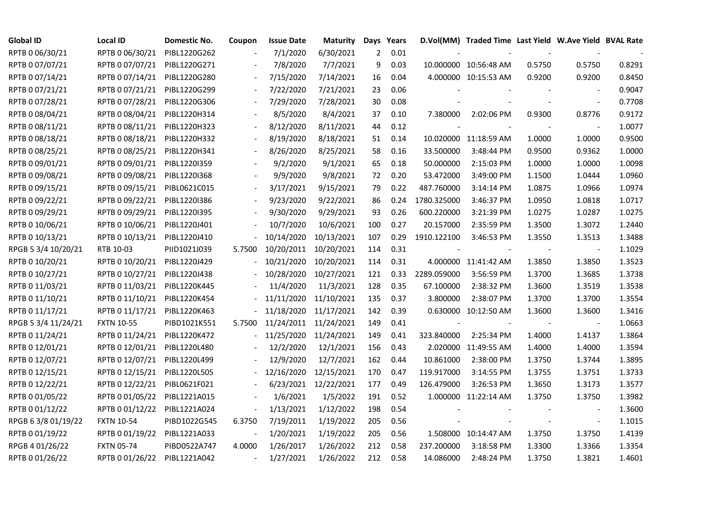| <b>Global ID</b>    | Local ID          | <b>Domestic No.</b> | Coupon                   | <b>Issue Date</b> | <b>Maturity</b>      |     | Days Years |             | D.Vol(MM) Traded Time Last Yield W.Ave Yield BVAL Rate |        |                          |        |
|---------------------|-------------------|---------------------|--------------------------|-------------------|----------------------|-----|------------|-------------|--------------------------------------------------------|--------|--------------------------|--------|
| RPTB 0 06/30/21     | RPTB 0 06/30/21   | PIBL1220G262        |                          | 7/1/2020          | 6/30/2021            | 2   | 0.01       |             |                                                        |        |                          |        |
| RPTB 0 07/07/21     | RPTB 0 07/07/21   | PIBL1220G271        |                          | 7/8/2020          | 7/7/2021             | 9   | 0.03       |             | 10.000000 10:56:48 AM                                  | 0.5750 | 0.5750                   | 0.8291 |
| RPTB 0 07/14/21     | RPTB 0 07/14/21   | PIBL1220G280        |                          | 7/15/2020         | 7/14/2021            | 16  | 0.04       |             | 4.000000 10:15:53 AM                                   | 0.9200 | 0.9200                   | 0.8450 |
| RPTB 0 07/21/21     | RPTB 0 07/21/21   | PIBL1220G299        | $\blacksquare$           | 7/22/2020         | 7/21/2021            | 23  | 0.06       |             |                                                        |        |                          | 0.9047 |
| RPTB 0 07/28/21     | RPTB 0 07/28/21   | PIBL1220G306        |                          | 7/29/2020         | 7/28/2021            | 30  | 0.08       |             |                                                        |        | $\blacksquare$           | 0.7708 |
| RPTB 0 08/04/21     | RPTB 0 08/04/21   | PIBL1220H314        |                          | 8/5/2020          | 8/4/2021             | 37  | 0.10       | 7.380000    | 2:02:06 PM                                             | 0.9300 | 0.8776                   | 0.9172 |
| RPTB 0 08/11/21     | RPTB 0 08/11/21   | PIBL1220H323        |                          | 8/12/2020         | 8/11/2021            | 44  | 0.12       |             |                                                        |        | $\overline{\phantom{a}}$ | 1.0077 |
| RPTB 0 08/18/21     | RPTB 0 08/18/21   | PIBL1220H332        |                          | 8/19/2020         | 8/18/2021            | 51  | 0.14       |             | 10.020000 11:18:59 AM                                  | 1.0000 | 1.0000                   | 0.9500 |
| RPTB 0 08/25/21     | RPTB 0 08/25/21   | PIBL1220H341        |                          | 8/26/2020         | 8/25/2021            | 58  | 0.16       | 33.500000   | 3:48:44 PM                                             | 0.9500 | 0.9362                   | 1.0000 |
| RPTB 0 09/01/21     | RPTB 0 09/01/21   | PIBL1220I359        |                          | 9/2/2020          | 9/1/2021             | 65  | 0.18       | 50.000000   | 2:15:03 PM                                             | 1.0000 | 1.0000                   | 1.0098 |
| RPTB 0 09/08/21     | RPTB 0 09/08/21   | PIBL1220I368        | $\overline{\phantom{a}}$ | 9/9/2020          | 9/8/2021             | 72  | 0.20       | 53.472000   | 3:49:00 PM                                             | 1.1500 | 1.0444                   | 1.0960 |
| RPTB 0 09/15/21     | RPTB 0 09/15/21   | PIBL0621C015        | $\blacksquare$           | 3/17/2021         | 9/15/2021            | 79  | 0.22       | 487.760000  | 3:14:14 PM                                             | 1.0875 | 1.0966                   | 1.0974 |
| RPTB 0 09/22/21     | RPTB 0 09/22/21   | PIBL1220I386        |                          | 9/23/2020         | 9/22/2021            | 86  | 0.24       | 1780.325000 | 3:46:37 PM                                             | 1.0950 | 1.0818                   | 1.0717 |
| RPTB 0 09/29/21     | RPTB 0 09/29/21   | PIBL1220I395        |                          | 9/30/2020         | 9/29/2021            | 93  | 0.26       | 600.220000  | 3:21:39 PM                                             | 1.0275 | 1.0287                   | 1.0275 |
| RPTB 0 10/06/21     | RPTB 0 10/06/21   | PIBL1220J401        |                          | 10/7/2020         | 10/6/2021            | 100 | 0.27       | 20.157000   | 2:35:59 PM                                             | 1.3500 | 1.3072                   | 1.2440 |
| RPTB 0 10/13/21     | RPTB 0 10/13/21   | PIBL1220J410        |                          | 10/14/2020        | 10/13/2021           | 107 | 0.29       | 1910.122100 | 3:46:53 PM                                             | 1.3550 | 1.3513                   | 1.3488 |
| RPGB 5 3/4 10/20/21 | RTB 10-03         | PIID1021J039        | 5.7500                   | 10/20/2011        | 10/20/2021           | 114 | 0.31       |             |                                                        |        | $\overline{\phantom{a}}$ | 1.1029 |
| RPTB 0 10/20/21     | RPTB 0 10/20/21   | PIBL1220J429        |                          | 10/21/2020        | 10/20/2021           | 114 | 0.31       |             | 4.000000 11:41:42 AM                                   | 1.3850 | 1.3850                   | 1.3523 |
| RPTB 0 10/27/21     | RPTB 0 10/27/21   | PIBL1220J438        |                          | 10/28/2020        | 10/27/2021           | 121 | 0.33       | 2289.059000 | 3:56:59 PM                                             | 1.3700 | 1.3685                   | 1.3738 |
| RPTB 0 11/03/21     | RPTB 0 11/03/21   | PIBL1220K445        |                          | 11/4/2020         | 11/3/2021            | 128 | 0.35       | 67.100000   | 2:38:32 PM                                             | 1.3600 | 1.3519                   | 1.3538 |
| RPTB 0 11/10/21     | RPTB 0 11/10/21   | PIBL1220K454        |                          | 11/11/2020        | 11/10/2021           | 135 | 0.37       | 3.800000    | 2:38:07 PM                                             | 1.3700 | 1.3700                   | 1.3554 |
| RPTB 0 11/17/21     | RPTB 0 11/17/21   | PIBL1220K463        |                          | 11/18/2020        | 11/17/2021           | 142 | 0.39       |             | 0.630000 10:12:50 AM                                   | 1.3600 | 1.3600                   | 1.3416 |
| RPGB 5 3/4 11/24/21 | <b>FXTN 10-55</b> | PIBD1021K551        | 5.7500                   | 11/24/2011        | 11/24/2021           | 149 | 0.41       |             |                                                        |        |                          | 1.0663 |
| RPTB 0 11/24/21     | RPTB 0 11/24/21   | PIBL1220K472        |                          | 11/25/2020        | 11/24/2021           | 149 | 0.41       | 323.840000  | 2:25:34 PM                                             | 1.4000 | 1.4137                   | 1.3864 |
| RPTB 0 12/01/21     | RPTB 0 12/01/21   | PIBL1220L480        |                          | 12/2/2020         | 12/1/2021            | 156 | 0.43       |             | 2.020000 11:49:55 AM                                   | 1.4000 | 1.4000                   | 1.3594 |
| RPTB 0 12/07/21     | RPTB 0 12/07/21   | PIBL1220L499        |                          | 12/9/2020         | 12/7/2021            | 162 | 0.44       | 10.861000   | 2:38:00 PM                                             | 1.3750 | 1.3744                   | 1.3895 |
| RPTB 0 12/15/21     | RPTB 0 12/15/21   | PIBL1220L505        |                          | 12/16/2020        | 12/15/2021           | 170 | 0.47       | 119.917000  | 3:14:55 PM                                             | 1.3755 | 1.3751                   | 1.3733 |
| RPTB 0 12/22/21     | RPTB 0 12/22/21   | PIBL0621F021        |                          |                   | 6/23/2021 12/22/2021 | 177 | 0.49       | 126.479000  | 3:26:53 PM                                             | 1.3650 | 1.3173                   | 1.3577 |
| RPTB 0 01/05/22     | RPTB 0 01/05/22   | PIBL1221A015        |                          | 1/6/2021          | 1/5/2022             | 191 | 0.52       |             | 1.000000 11:22:14 AM                                   | 1.3750 | 1.3750                   | 1.3982 |
| RPTB 0 01/12/22     | RPTB 0 01/12/22   | PIBL1221A024        |                          | 1/13/2021         | 1/12/2022            | 198 | 0.54       |             |                                                        |        |                          | 1.3600 |
| RPGB 63/8 01/19/22  | <b>FXTN 10-54</b> | PIBD1022G545        | 6.3750                   | 7/19/2011         | 1/19/2022            | 205 | 0.56       |             |                                                        |        | $\overline{\phantom{a}}$ | 1.1015 |
| RPTB 0 01/19/22     | RPTB 0 01/19/22   | PIBL1221A033        |                          | 1/20/2021         | 1/19/2022            | 205 | 0.56       |             | 1.508000 10:14:47 AM                                   | 1.3750 | 1.3750                   | 1.4139 |
| RPGB 4 01/26/22     | <b>FXTN 05-74</b> | PIBD0522A747        | 4.0000                   | 1/26/2017         | 1/26/2022            | 212 | 0.58       | 237.200000  | 3:18:58 PM                                             | 1.3300 | 1.3366                   | 1.3354 |
| RPTB 0 01/26/22     | RPTB 0 01/26/22   | PIBL1221A042        | $\blacksquare$           | 1/27/2021         | 1/26/2022            | 212 | 0.58       | 14.086000   | 2:48:24 PM                                             | 1.3750 | 1.3821                   | 1.4601 |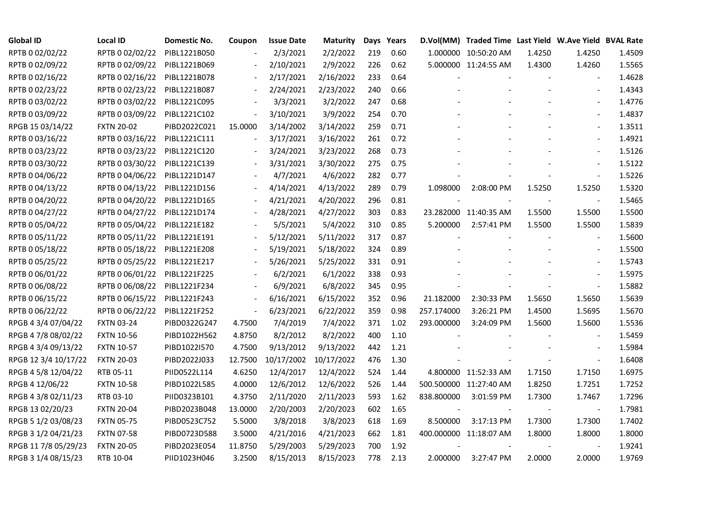| <b>Global ID</b>     | <b>Local ID</b>   | Domestic No. | Coupon                   | <b>Issue Date</b> | Maturity   |     | Days Years |            | D.Vol(MM) Traded Time Last Yield W.Ave Yield BVAL Rate |        |                          |        |
|----------------------|-------------------|--------------|--------------------------|-------------------|------------|-----|------------|------------|--------------------------------------------------------|--------|--------------------------|--------|
| RPTB 0 02/02/22      | RPTB 0 02/02/22   | PIBL1221B050 |                          | 2/3/2021          | 2/2/2022   | 219 | 0.60       |            | 1.000000 10:50:20 AM                                   | 1.4250 | 1.4250                   | 1.4509 |
| RPTB 0 02/09/22      | RPTB 0 02/09/22   | PIBL1221B069 |                          | 2/10/2021         | 2/9/2022   | 226 | 0.62       |            | 5.000000 11:24:55 AM                                   | 1.4300 | 1.4260                   | 1.5565 |
| RPTB 0 02/16/22      | RPTB 0 02/16/22   | PIBL1221B078 | $\overline{\phantom{a}}$ | 2/17/2021         | 2/16/2022  | 233 | 0.64       |            |                                                        |        |                          | 1.4628 |
| RPTB 0 02/23/22      | RPTB 0 02/23/22   | PIBL1221B087 | $\blacksquare$           | 2/24/2021         | 2/23/2022  | 240 | 0.66       |            |                                                        |        | $\blacksquare$           | 1.4343 |
| RPTB 0 03/02/22      | RPTB 0 03/02/22   | PIBL1221C095 |                          | 3/3/2021          | 3/2/2022   | 247 | 0.68       |            |                                                        |        |                          | 1.4776 |
| RPTB 0 03/09/22      | RPTB 0 03/09/22   | PIBL1221C102 | $\Box$                   | 3/10/2021         | 3/9/2022   | 254 | 0.70       |            |                                                        |        | $\blacksquare$           | 1.4837 |
| RPGB 15 03/14/22     | <b>FXTN 20-02</b> | PIBD2022C021 | 15.0000                  | 3/14/2002         | 3/14/2022  | 259 | 0.71       |            |                                                        |        | $\overline{\phantom{a}}$ | 1.3511 |
| RPTB 0 03/16/22      | RPTB 0 03/16/22   | PIBL1221C111 | $\Box$                   | 3/17/2021         | 3/16/2022  | 261 | 0.72       |            |                                                        |        | $\blacksquare$           | 1.4921 |
| RPTB 0 03/23/22      | RPTB 0 03/23/22   | PIBL1221C120 |                          | 3/24/2021         | 3/23/2022  | 268 | 0.73       |            |                                                        |        |                          | 1.5126 |
| RPTB 0 03/30/22      | RPTB 0 03/30/22   | PIBL1221C139 |                          | 3/31/2021         | 3/30/2022  | 275 | 0.75       |            |                                                        |        | $\blacksquare$           | 1.5122 |
| RPTB 0 04/06/22      | RPTB 0 04/06/22   | PIBL1221D147 | $\overline{\phantom{0}}$ | 4/7/2021          | 4/6/2022   | 282 | 0.77       |            |                                                        |        | $\blacksquare$           | 1.5226 |
| RPTB 0 04/13/22      | RPTB 0 04/13/22   | PIBL1221D156 |                          | 4/14/2021         | 4/13/2022  | 289 | 0.79       | 1.098000   | 2:08:00 PM                                             | 1.5250 | 1.5250                   | 1.5320 |
| RPTB 0 04/20/22      | RPTB 0 04/20/22   | PIBL1221D165 |                          | 4/21/2021         | 4/20/2022  | 296 | 0.81       |            |                                                        |        | $\blacksquare$           | 1.5465 |
| RPTB 0 04/27/22      | RPTB 0 04/27/22   | PIBL1221D174 |                          | 4/28/2021         | 4/27/2022  | 303 | 0.83       |            | 23.282000 11:40:35 AM                                  | 1.5500 | 1.5500                   | 1.5500 |
| RPTB 0 05/04/22      | RPTB 0 05/04/22   | PIBL1221E182 |                          | 5/5/2021          | 5/4/2022   | 310 | 0.85       | 5.200000   | 2:57:41 PM                                             | 1.5500 | 1.5500                   | 1.5839 |
| RPTB 0 05/11/22      | RPTB 0 05/11/22   | PIBL1221E191 |                          | 5/12/2021         | 5/11/2022  | 317 | 0.87       |            |                                                        |        |                          | 1.5600 |
| RPTB 0 05/18/22      | RPTB 0 05/18/22   | PIBL1221E208 |                          | 5/19/2021         | 5/18/2022  | 324 | 0.89       |            |                                                        |        | $\overline{\phantom{a}}$ | 1.5500 |
| RPTB 0 05/25/22      | RPTB 0 05/25/22   | PIBL1221E217 | $\overline{\phantom{a}}$ | 5/26/2021         | 5/25/2022  | 331 | 0.91       |            |                                                        |        | $\overline{\phantom{a}}$ | 1.5743 |
| RPTB 0 06/01/22      | RPTB 0 06/01/22   | PIBL1221F225 |                          | 6/2/2021          | 6/1/2022   | 338 | 0.93       |            |                                                        |        |                          | 1.5975 |
| RPTB 0 06/08/22      | RPTB 0 06/08/22   | PIBL1221F234 |                          | 6/9/2021          | 6/8/2022   | 345 | 0.95       |            |                                                        |        |                          | 1.5882 |
| RPTB 0 06/15/22      | RPTB 0 06/15/22   | PIBL1221F243 | $\overline{\phantom{a}}$ | 6/16/2021         | 6/15/2022  | 352 | 0.96       | 21.182000  | 2:30:33 PM                                             | 1.5650 | 1.5650                   | 1.5639 |
| RPTB 0 06/22/22      | RPTB 0 06/22/22   | PIBL1221F252 | $\overline{\phantom{a}}$ | 6/23/2021         | 6/22/2022  | 359 | 0.98       | 257.174000 | 3:26:21 PM                                             | 1.4500 | 1.5695                   | 1.5670 |
| RPGB 4 3/4 07/04/22  | <b>FXTN 03-24</b> | PIBD0322G247 | 4.7500                   | 7/4/2019          | 7/4/2022   | 371 | 1.02       | 293.000000 | 3:24:09 PM                                             | 1.5600 | 1.5600                   | 1.5536 |
| RPGB 4 7/8 08/02/22  | <b>FXTN 10-56</b> | PIBD1022H562 | 4.8750                   | 8/2/2012          | 8/2/2022   | 400 | 1.10       |            |                                                        |        |                          | 1.5459 |
| RPGB 4 3/4 09/13/22  | <b>FXTN 10-57</b> | PIBD1022I570 | 4.7500                   | 9/13/2012         | 9/13/2022  | 442 | 1.21       |            |                                                        |        | $\blacksquare$           | 1.5984 |
| RPGB 12 3/4 10/17/22 | <b>FXTN 20-03</b> | PIBD2022J033 | 12.7500                  | 10/17/2002        | 10/17/2022 | 476 | 1.30       |            |                                                        |        | $\blacksquare$           | 1.6408 |
| RPGB 4 5/8 12/04/22  | RTB 05-11         | PIID0522L114 | 4.6250                   | 12/4/2017         | 12/4/2022  | 524 | 1.44       |            | 4.800000 11:52:33 AM                                   | 1.7150 | 1.7150                   | 1.6975 |
| RPGB 4 12/06/22      | <b>FXTN 10-58</b> | PIBD1022L585 | 4.0000                   | 12/6/2012         | 12/6/2022  | 526 | 1.44       |            | 500.500000 11:27:40 AM                                 | 1.8250 | 1.7251                   | 1.7252 |
| RPGB 4 3/8 02/11/23  | RTB 03-10         | PIID0323B101 | 4.3750                   | 2/11/2020         | 2/11/2023  | 593 | 1.62       | 838.800000 | 3:01:59 PM                                             | 1.7300 | 1.7467                   | 1.7296 |
| RPGB 13 02/20/23     | <b>FXTN 20-04</b> | PIBD2023B048 | 13.0000                  | 2/20/2003         | 2/20/2023  | 602 | 1.65       |            |                                                        |        | $\overline{\phantom{a}}$ | 1.7981 |
| RPGB 5 1/2 03/08/23  | <b>FXTN 05-75</b> | PIBD0523C752 | 5.5000                   | 3/8/2018          | 3/8/2023   | 618 | 1.69       | 8.500000   | 3:17:13 PM                                             | 1.7300 | 1.7300                   | 1.7402 |
| RPGB 3 1/2 04/21/23  | <b>FXTN 07-58</b> | PIBD0723D588 | 3.5000                   | 4/21/2016         | 4/21/2023  | 662 | 1.81       |            | 400.000000 11:18:07 AM                                 | 1.8000 | 1.8000                   | 1.8000 |
| RPGB 11 7/8 05/29/23 | <b>FXTN 20-05</b> | PIBD2023E054 | 11.8750                  | 5/29/2003         | 5/29/2023  | 700 | 1.92       |            |                                                        |        |                          | 1.9241 |
| RPGB 3 1/4 08/15/23  | RTB 10-04         | PIID1023H046 | 3.2500                   | 8/15/2013         | 8/15/2023  | 778 | 2.13       | 2.000000   | 3:27:47 PM                                             | 2.0000 | 2.0000                   | 1.9769 |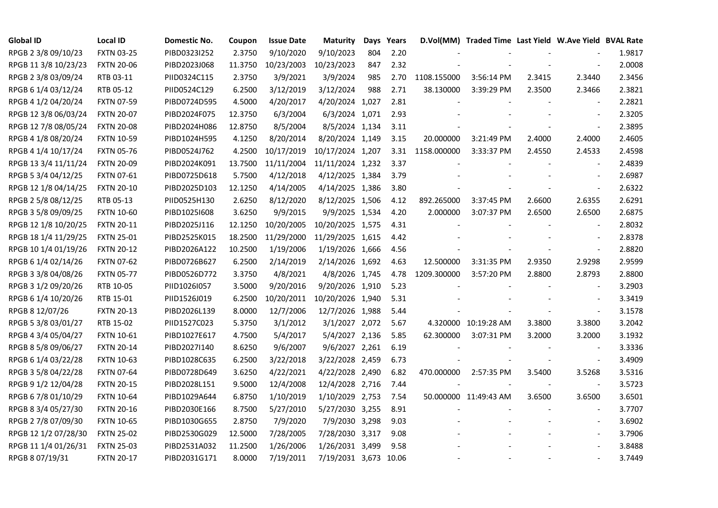| <b>Global ID</b>     | <b>Local ID</b>   | Domestic No. | Coupon  | <b>Issue Date</b> | <b>Maturity</b>       | Days | Years |             | D.Vol(MM) Traded Time Last Yield W.Ave Yield BVAL Rate |        |                          |        |
|----------------------|-------------------|--------------|---------|-------------------|-----------------------|------|-------|-------------|--------------------------------------------------------|--------|--------------------------|--------|
| RPGB 2 3/8 09/10/23  | <b>FXTN 03-25</b> | PIBD0323I252 | 2.3750  | 9/10/2020         | 9/10/2023             | 804  | 2.20  |             |                                                        |        |                          | 1.9817 |
| RPGB 11 3/8 10/23/23 | <b>FXTN 20-06</b> | PIBD2023J068 | 11.3750 | 10/23/2003        | 10/23/2023            | 847  | 2.32  |             |                                                        |        |                          | 2.0008 |
| RPGB 2 3/8 03/09/24  | RTB 03-11         | PIID0324C115 | 2.3750  | 3/9/2021          | 3/9/2024              | 985  | 2.70  | 1108.155000 | 3:56:14 PM                                             | 2.3415 | 2.3440                   | 2.3456 |
| RPGB 6 1/4 03/12/24  | RTB 05-12         | PIID0524C129 | 6.2500  | 3/12/2019         | 3/12/2024             | 988  | 2.71  | 38.130000   | 3:39:29 PM                                             | 2.3500 | 2.3466                   | 2.3821 |
| RPGB 4 1/2 04/20/24  | <b>FXTN 07-59</b> | PIBD0724D595 | 4.5000  | 4/20/2017         | 4/20/2024 1,027       |      | 2.81  |             |                                                        |        | $\blacksquare$           | 2.2821 |
| RPGB 12 3/8 06/03/24 | <b>FXTN 20-07</b> | PIBD2024F075 | 12.3750 | 6/3/2004          | 6/3/2024 1,071        |      | 2.93  |             |                                                        |        | $\sim$                   | 2.3205 |
| RPGB 12 7/8 08/05/24 | <b>FXTN 20-08</b> | PIBD2024H086 | 12.8750 | 8/5/2004          | 8/5/2024 1,134        |      | 3.11  |             |                                                        |        | $\blacksquare$           | 2.3895 |
| RPGB 4 1/8 08/20/24  | <b>FXTN 10-59</b> | PIBD1024H595 | 4.1250  | 8/20/2014         | 8/20/2024 1,149       |      | 3.15  | 20.000000   | 3:21:49 PM                                             | 2.4000 | 2.4000                   | 2.4605 |
| RPGB 4 1/4 10/17/24  | <b>FXTN 05-76</b> | PIBD0524J762 | 4.2500  | 10/17/2019        | 10/17/2024 1,207      |      | 3.31  | 1158.000000 | 3:33:37 PM                                             | 2.4550 | 2.4533                   | 2.4598 |
| RPGB 13 3/4 11/11/24 | <b>FXTN 20-09</b> | PIBD2024K091 | 13.7500 | 11/11/2004        | 11/11/2024 1,232      |      | 3.37  |             |                                                        |        |                          | 2.4839 |
| RPGB 5 3/4 04/12/25  | FXTN 07-61        | PIBD0725D618 | 5.7500  | 4/12/2018         | 4/12/2025 1,384       |      | 3.79  |             |                                                        |        | $\overline{a}$           | 2.6987 |
| RPGB 12 1/8 04/14/25 | <b>FXTN 20-10</b> | PIBD2025D103 | 12.1250 | 4/14/2005         | 4/14/2025 1,386       |      | 3.80  |             |                                                        |        | $\blacksquare$           | 2.6322 |
| RPGB 2 5/8 08/12/25  | RTB 05-13         | PIID0525H130 | 2.6250  | 8/12/2020         | 8/12/2025 1,506       |      | 4.12  | 892.265000  | 3:37:45 PM                                             | 2.6600 | 2.6355                   | 2.6291 |
| RPGB 3 5/8 09/09/25  | <b>FXTN 10-60</b> | PIBD10251608 | 3.6250  | 9/9/2015          | 9/9/2025 1,534        |      | 4.20  | 2.000000    | 3:07:37 PM                                             | 2.6500 | 2.6500                   | 2.6875 |
| RPGB 12 1/8 10/20/25 | <b>FXTN 20-11</b> | PIBD2025J116 | 12.1250 | 10/20/2005        | 10/20/2025 1,575      |      | 4.31  |             |                                                        |        | $\blacksquare$           | 2.8032 |
| RPGB 18 1/4 11/29/25 | <b>FXTN 25-01</b> | PIBD2525K015 | 18.2500 | 11/29/2000        | 11/29/2025 1,615      |      | 4.42  |             |                                                        |        |                          | 2.8378 |
| RPGB 10 1/4 01/19/26 | <b>FXTN 20-12</b> | PIBD2026A122 | 10.2500 | 1/19/2006         | 1/19/2026 1,666       |      | 4.56  |             |                                                        |        | $\overline{\phantom{a}}$ | 2.8820 |
| RPGB 6 1/4 02/14/26  | <b>FXTN 07-62</b> | PIBD0726B627 | 6.2500  | 2/14/2019         | 2/14/2026 1,692       |      | 4.63  | 12.500000   | 3:31:35 PM                                             | 2.9350 | 2.9298                   | 2.9599 |
| RPGB 3 3/8 04/08/26  | <b>FXTN 05-77</b> | PIBD0526D772 | 3.3750  | 4/8/2021          | 4/8/2026 1,745        |      | 4.78  | 1209.300000 | 3:57:20 PM                                             | 2.8800 | 2.8793                   | 2.8800 |
| RPGB 3 1/2 09/20/26  | RTB 10-05         | PIID1026I057 | 3.5000  | 9/20/2016         | 9/20/2026 1,910       |      | 5.23  |             |                                                        |        | $\blacksquare$           | 3.2903 |
| RPGB 6 1/4 10/20/26  | RTB 15-01         | PIID1526J019 | 6.2500  | 10/20/2011        | 10/20/2026 1,940      |      | 5.31  |             |                                                        |        | $\blacksquare$           | 3.3419 |
| RPGB 8 12/07/26      | <b>FXTN 20-13</b> | PIBD2026L139 | 8.0000  | 12/7/2006         | 12/7/2026 1,988       |      | 5.44  |             |                                                        |        | $\blacksquare$           | 3.1578 |
| RPGB 5 3/8 03/01/27  | RTB 15-02         | PIID1527C023 | 5.3750  | 3/1/2012          | 3/1/2027 2,072        |      | 5.67  |             | 4.320000 10:19:28 AM                                   | 3.3800 | 3.3800                   | 3.2042 |
| RPGB 4 3/4 05/04/27  | <b>FXTN 10-61</b> | PIBD1027E617 | 4.7500  | 5/4/2017          | 5/4/2027 2,136        |      | 5.85  | 62.300000   | 3:07:31 PM                                             | 3.2000 | 3.2000                   | 3.1932 |
| RPGB 8 5/8 09/06/27  | <b>FXTN 20-14</b> | PIBD2027I140 | 8.6250  | 9/6/2007          | 9/6/2027 2,261        |      | 6.19  |             |                                                        |        | $\blacksquare$           | 3.3336 |
| RPGB 6 1/4 03/22/28  | <b>FXTN 10-63</b> | PIBD1028C635 | 6.2500  | 3/22/2018         | 3/22/2028 2,459       |      | 6.73  |             |                                                        |        | $\blacksquare$           | 3.4909 |
| RPGB 3 5/8 04/22/28  | <b>FXTN 07-64</b> | PIBD0728D649 | 3.6250  | 4/22/2021         | 4/22/2028 2,490       |      | 6.82  | 470.000000  | 2:57:35 PM                                             | 3.5400 | 3.5268                   | 3.5316 |
| RPGB 9 1/2 12/04/28  | <b>FXTN 20-15</b> | PIBD2028L151 | 9.5000  | 12/4/2008         | 12/4/2028 2,716       |      | 7.44  |             |                                                        |        | $\blacksquare$           | 3.5723 |
| RPGB 67/8 01/10/29   | <b>FXTN 10-64</b> | PIBD1029A644 | 6.8750  | 1/10/2019         | 1/10/2029 2,753       |      | 7.54  |             | 50.000000 11:49:43 AM                                  | 3.6500 | 3.6500                   | 3.6501 |
| RPGB 8 3/4 05/27/30  | <b>FXTN 20-16</b> | PIBD2030E166 | 8.7500  | 5/27/2010         | 5/27/2030 3,255       |      | 8.91  |             |                                                        |        |                          | 3.7707 |
| RPGB 2 7/8 07/09/30  | <b>FXTN 10-65</b> | PIBD1030G655 | 2.8750  | 7/9/2020          | 7/9/2030 3,298        |      | 9.03  |             |                                                        |        | $\blacksquare$           | 3.6902 |
| RPGB 12 1/2 07/28/30 | <b>FXTN 25-02</b> | PIBD2530G029 | 12.5000 | 7/28/2005         | 7/28/2030 3,317       |      | 9.08  |             |                                                        |        | $\blacksquare$           | 3.7906 |
| RPGB 11 1/4 01/26/31 | <b>FXTN 25-03</b> | PIBD2531A032 | 11.2500 | 1/26/2006         | 1/26/2031 3,499       |      | 9.58  |             |                                                        |        |                          | 3.8488 |
| RPGB 8 07/19/31      | <b>FXTN 20-17</b> | PIBD2031G171 | 8.0000  | 7/19/2011         | 7/19/2031 3,673 10.06 |      |       |             |                                                        |        | $\blacksquare$           | 3.7449 |